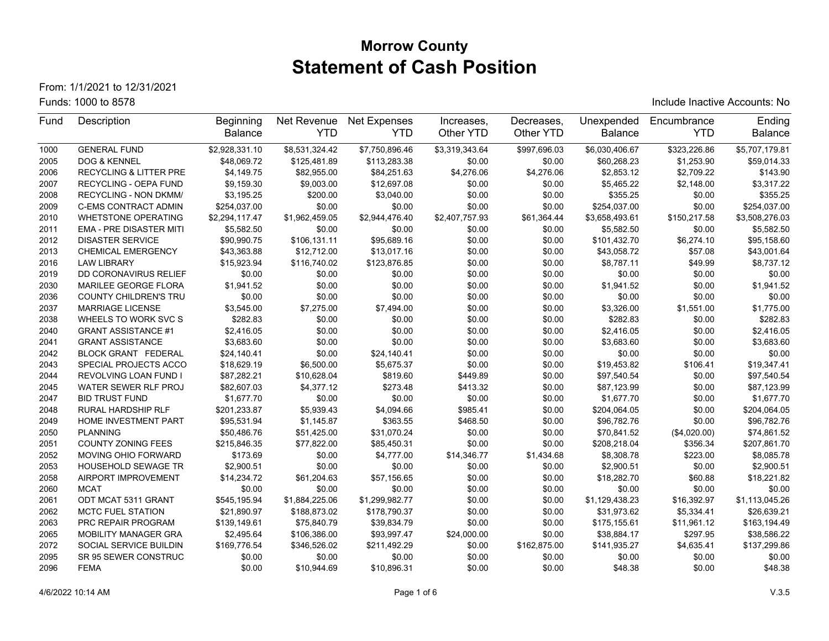# **Morrow County Statement of Cash Position**

From: 1/1/2021 to 12/31/2021

Funds: 1000 to 8578 Include Inactive Accounts: No

| Fund | Description                    | Beginning      | Net Revenue    | <b>Net Expenses</b> | Increases,     | Decreases,   | Unexpended     | Encumbrance  | Ending         |
|------|--------------------------------|----------------|----------------|---------------------|----------------|--------------|----------------|--------------|----------------|
|      |                                | <b>Balance</b> | <b>YTD</b>     | <b>YTD</b>          | Other YTD      | Other YTD    | <b>Balance</b> | <b>YTD</b>   | <b>Balance</b> |
| 1000 | <b>GENERAL FUND</b>            | \$2,928,331.10 | \$8,531,324.42 | \$7,750,896.46      | \$3,319,343.64 | \$997.696.03 | \$6,030,406.67 | \$323,226.86 | \$5,707,179.81 |
| 2005 | DOG & KENNEL                   | \$48,069.72    | \$125,481.89   | \$113,283.38        | \$0.00         | \$0.00       | \$60,268.23    | \$1,253.90   | \$59,014.33    |
| 2006 | RECYCLING & LITTER PRE         | \$4,149.75     | \$82,955.00    | \$84,251.63         | \$4,276.06     | \$4,276.06   | \$2,853.12     | \$2,709.22   | \$143.90       |
| 2007 | RECYCLING - OEPA FUND          | \$9,159.30     | \$9,003.00     | \$12,697.08         | \$0.00         | \$0.00       | \$5,465.22     | \$2,148.00   | \$3,317.22     |
| 2008 | RECYCLING - NON DKMM/          | \$3,195.25     | \$200.00       | \$3,040.00          | \$0.00         | \$0.00       | \$355.25       | \$0.00       | \$355.25       |
| 2009 | <b>C-EMS CONTRACT ADMIN</b>    | \$254,037.00   | \$0.00         | \$0.00              | \$0.00         | \$0.00       | \$254,037.00   | \$0.00       | \$254,037.00   |
| 2010 | <b>WHETSTONE OPERATING</b>     | \$2,294,117.47 | \$1,962,459.05 | \$2,944,476.40      | \$2,407,757.93 | \$61,364.44  | \$3,658,493.61 | \$150,217.58 | \$3,508,276.03 |
| 2011 | <b>EMA - PRE DISASTER MITI</b> | \$5,582.50     | \$0.00         | \$0.00              | \$0.00         | \$0.00       | \$5,582.50     | \$0.00       | \$5,582.50     |
| 2012 | <b>DISASTER SERVICE</b>        | \$90,990.75    | \$106,131.11   | \$95,689.16         | \$0.00         | \$0.00       | \$101,432.70   | \$6,274.10   | \$95,158.60    |
| 2013 | <b>CHEMICAL EMERGENCY</b>      | \$43,363.88    | \$12,712.00    | \$13,017.16         | \$0.00         | \$0.00       | \$43,058.72    | \$57.08      | \$43,001.64    |
| 2016 | <b>LAW LIBRARY</b>             | \$15,923.94    | \$116,740.02   | \$123,876.85        | \$0.00         | \$0.00       | \$8,787.11     | \$49.99      | \$8,737.12     |
| 2019 | DD CORONAVIRUS RELIEF          | \$0.00         | \$0.00         | \$0.00              | \$0.00         | \$0.00       | \$0.00         | \$0.00       | \$0.00         |
| 2030 | MARILEE GEORGE FLORA           | \$1,941.52     | \$0.00         | \$0.00              | \$0.00         | \$0.00       | \$1,941.52     | \$0.00       | \$1,941.52     |
| 2036 | <b>COUNTY CHILDREN'S TRU</b>   | \$0.00         | \$0.00         | \$0.00              | \$0.00         | \$0.00       | \$0.00         | \$0.00       | \$0.00         |
| 2037 | <b>MARRIAGE LICENSE</b>        | \$3,545.00     | \$7,275.00     | \$7,494.00          | \$0.00         | \$0.00       | \$3,326.00     | \$1,551.00   | \$1,775.00     |
| 2038 | WHEELS TO WORK SVC S           | \$282.83       | \$0.00         | \$0.00              | \$0.00         | \$0.00       | \$282.83       | \$0.00       | \$282.83       |
| 2040 | <b>GRANT ASSISTANCE #1</b>     | \$2,416.05     | \$0.00         | \$0.00              | \$0.00         | \$0.00       | \$2,416.05     | \$0.00       | \$2,416.05     |
| 2041 | <b>GRANT ASSISTANCE</b>        | \$3,683.60     | \$0.00         | \$0.00              | \$0.00         | \$0.00       | \$3,683.60     | \$0.00       | \$3,683.60     |
| 2042 | <b>BLOCK GRANT FEDERAL</b>     | \$24,140.41    | \$0.00         | \$24,140.41         | \$0.00         | \$0.00       | \$0.00         | \$0.00       | \$0.00         |
| 2043 | SPECIAL PROJECTS ACCO          | \$18,629.19    | \$6,500.00     | \$5,675.37          | \$0.00         | \$0.00       | \$19,453.82    | \$106.41     | \$19,347.41    |
| 2044 | REVOLVING LOAN FUND I          | \$87,282.21    | \$10,628.04    | \$819.60            | \$449.89       | \$0.00       | \$97,540.54    | \$0.00       | \$97,540.54    |
| 2045 | <b>WATER SEWER RLF PROJ</b>    | \$82.607.03    | \$4,377.12     | \$273.48            | \$413.32       | \$0.00       | \$87,123.99    | \$0.00       | \$87.123.99    |
| 2047 | <b>BID TRUST FUND</b>          | \$1,677.70     | \$0.00         | \$0.00              | \$0.00         | \$0.00       | \$1,677.70     | \$0.00       | \$1,677.70     |
| 2048 | <b>RURAL HARDSHIP RLF</b>      | \$201,233.87   | \$5,939.43     | \$4,094.66          | \$985.41       | \$0.00       | \$204,064.05   | \$0.00       | \$204,064.05   |
| 2049 | HOME INVESTMENT PART           | \$95,531.94    | \$1,145.87     | \$363.55            | \$468.50       | \$0.00       | \$96,782.76    | \$0.00       | \$96,782.76    |
| 2050 | <b>PLANNING</b>                | \$50,486.76    | \$51,425.00    | \$31,070.24         | \$0.00         | \$0.00       | \$70,841.52    | (\$4,020.00) | \$74,861.52    |
| 2051 | <b>COUNTY ZONING FEES</b>      | \$215.846.35   | \$77,822.00    | \$85,450.31         | \$0.00         | \$0.00       | \$208,218.04   | \$356.34     | \$207,861.70   |
| 2052 | MOVING OHIO FORWARD            | \$173.69       | \$0.00         | \$4,777.00          | \$14,346.77    | \$1,434.68   | \$8,308.78     | \$223.00     | \$8,085.78     |
| 2053 | <b>HOUSEHOLD SEWAGE TR</b>     | \$2,900.51     | \$0.00         | \$0.00              | \$0.00         | \$0.00       | \$2,900.51     | \$0.00       | \$2,900.51     |
| 2058 | AIRPORT IMPROVEMENT            | \$14,234.72    | \$61,204.63    | \$57,156.65         | \$0.00         | \$0.00       | \$18,282.70    | \$60.88      | \$18,221.82    |
| 2060 | <b>MCAT</b>                    | \$0.00         | \$0.00         | \$0.00              | \$0.00         | \$0.00       | \$0.00         | \$0.00       | \$0.00         |
| 2061 | ODT MCAT 5311 GRANT            | \$545,195.94   | \$1,884,225.06 | \$1,299,982.77      | \$0.00         | \$0.00       | \$1,129,438.23 | \$16,392.97  | \$1,113,045.26 |
| 2062 | <b>MCTC FUEL STATION</b>       | \$21,890.97    | \$188,873.02   | \$178,790.37        | \$0.00         | \$0.00       | \$31,973.62    | \$5,334.41   | \$26,639.21    |
| 2063 | PRC REPAIR PROGRAM             | \$139,149.61   | \$75,840.79    | \$39,834.79         | \$0.00         | \$0.00       | \$175,155.61   | \$11,961.12  | \$163,194.49   |
| 2065 | MOBILITY MANAGER GRA           | \$2,495.64     | \$106,386.00   | \$93,997.47         | \$24,000.00    | \$0.00       | \$38,884.17    | \$297.95     | \$38,586.22    |
| 2072 | SOCIAL SERVICE BUILDIN         | \$169,776.54   | \$346,526.02   | \$211,492.29        | \$0.00         | \$162,875.00 | \$141,935.27   | \$4,635.41   | \$137,299.86   |
| 2095 | SR 95 SEWER CONSTRUC           | \$0.00         | \$0.00         | \$0.00              | \$0.00         | \$0.00       | \$0.00         | \$0.00       | \$0.00         |
| 2096 | <b>FEMA</b>                    | \$0.00         | \$10,944.69    | \$10,896.31         | \$0.00         | \$0.00       | \$48.38        | \$0.00       | \$48.38        |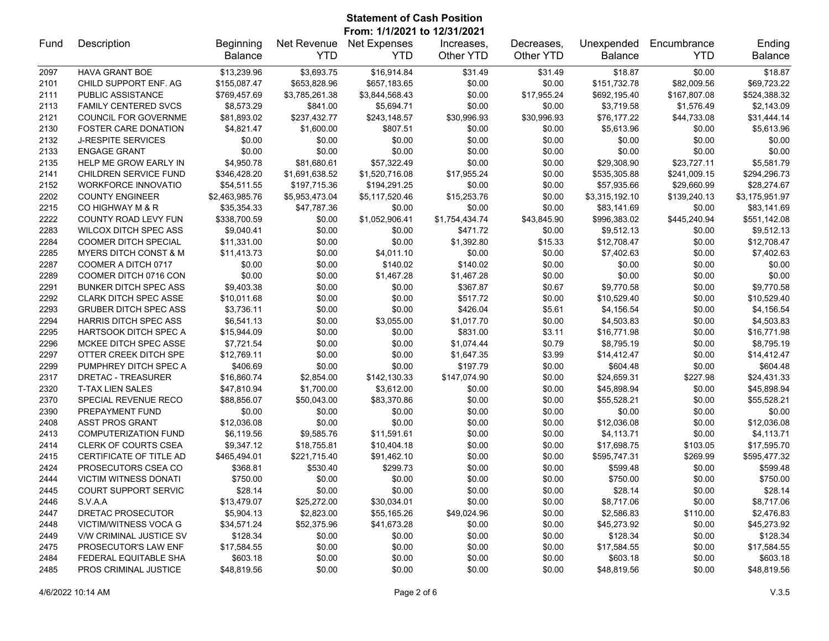## **Statement of Cash Position From: 1/1/2021 to 12/31/2021**

| Fund | Description                      | Beginning      | Net Revenue    | <b>Net Expenses</b> | Increases.     | Decreases.  | Unexpended     | Encumbrance  | Ending         |
|------|----------------------------------|----------------|----------------|---------------------|----------------|-------------|----------------|--------------|----------------|
|      |                                  | <b>Balance</b> | <b>YTD</b>     | <b>YTD</b>          | Other YTD      | Other YTD   | <b>Balance</b> | <b>YTD</b>   | <b>Balance</b> |
| 2097 | <b>HAVA GRANT BOE</b>            | \$13,239.96    | \$3,693.75     | \$16,914.84         | \$31.49        | \$31.49     | \$18.87        | \$0.00       | \$18.87        |
| 2101 | CHILD SUPPORT ENF. AG            | \$155,087.47   | \$653,828.96   | \$657,183.65        | \$0.00         | \$0.00      | \$151,732.78   | \$82,009.56  | \$69,723.22    |
| 2111 | PUBLIC ASSISTANCE                | \$769,457.69   | \$3,785,261.38 | \$3,844,568.43      | \$0.00         | \$17,955.24 | \$692,195.40   | \$167,807.08 | \$524,388.32   |
| 2113 | <b>FAMILY CENTERED SVCS</b>      | \$8,573.29     | \$841.00       | \$5,694.71          | \$0.00         | \$0.00      | \$3,719.58     | \$1,576.49   | \$2,143.09     |
| 2121 | COUNCIL FOR GOVERNME             | \$81,893.02    | \$237,432.77   | \$243,148.57        | \$30,996.93    | \$30,996.93 | \$76,177.22    | \$44,733.08  | \$31,444.14    |
| 2130 | <b>FOSTER CARE DONATION</b>      | \$4,821.47     | \$1,600.00     | \$807.51            | \$0.00         | \$0.00      | \$5,613.96     | \$0.00       | \$5,613.96     |
| 2132 | <b>J-RESPITE SERVICES</b>        | \$0.00         | \$0.00         | \$0.00              | \$0.00         | \$0.00      | \$0.00         | \$0.00       | \$0.00         |
| 2133 | <b>ENGAGE GRANT</b>              | \$0.00         | \$0.00         | \$0.00              | \$0.00         | \$0.00      | \$0.00         | \$0.00       | \$0.00         |
| 2135 | HELP ME GROW EARLY IN            | \$4,950.78     | \$81,680.61    | \$57,322.49         | \$0.00         | \$0.00      | \$29,308.90    | \$23,727.11  | \$5,581.79     |
| 2141 | CHILDREN SERVICE FUND            | \$346,428.20   | \$1,691,638.52 | \$1,520,716.08      | \$17,955.24    | \$0.00      | \$535,305.88   | \$241,009.15 | \$294,296.73   |
| 2152 | <b>WORKFORCE INNOVATIO</b>       | \$54,511.55    | \$197,715.36   | \$194,291.25        | \$0.00         | \$0.00      | \$57,935.66    | \$29,660.99  | \$28,274.67    |
| 2202 | <b>COUNTY ENGINEER</b>           | \$2,463,985.76 | \$5,953,473.04 | \$5,117,520.46      | \$15,253.76    | \$0.00      | \$3,315,192.10 | \$139,240.13 | \$3,175,951.97 |
| 2215 | CO HIGHWAY M & R                 | \$35,354.33    | \$47,787.36    | \$0.00              | \$0.00         | \$0.00      | \$83,141.69    | \$0.00       | \$83,141.69    |
| 2222 | COUNTY ROAD LEVY FUN             | \$338,700.59   | \$0.00         | \$1,052,906.41      | \$1,754,434.74 | \$43,845.90 | \$996,383.02   | \$445,240.94 | \$551,142.08   |
| 2283 | <b>WILCOX DITCH SPEC ASS</b>     | \$9,040.41     | \$0.00         | \$0.00              | \$471.72       | \$0.00      | \$9,512.13     | \$0.00       | \$9,512.13     |
| 2284 | <b>COOMER DITCH SPECIAL</b>      | \$11,331.00    | \$0.00         | \$0.00              | \$1,392.80     | \$15.33     | \$12,708.47    | \$0.00       | \$12,708.47    |
| 2285 | <b>MYERS DITCH CONST &amp; M</b> | \$11,413.73    | \$0.00         | \$4,011.10          | \$0.00         | \$0.00      | \$7,402.63     | \$0.00       | \$7,402.63     |
| 2287 | COOMER A DITCH 0717              | \$0.00         | \$0.00         | \$140.02            | \$140.02       | \$0.00      | \$0.00         | \$0.00       | \$0.00         |
| 2289 | COOMER DITCH 0716 CON            | \$0.00         | \$0.00         | \$1,467.28          | \$1,467.28     | \$0.00      | \$0.00         | \$0.00       | \$0.00         |
| 2291 | <b>BUNKER DITCH SPEC ASS</b>     | \$9,403.38     | \$0.00         | \$0.00              | \$367.87       | \$0.67      | \$9,770.58     | \$0.00       | \$9,770.58     |
| 2292 | <b>CLARK DITCH SPEC ASSE</b>     | \$10,011.68    | \$0.00         | \$0.00              | \$517.72       | \$0.00      | \$10,529.40    | \$0.00       | \$10,529.40    |
| 2293 | <b>GRUBER DITCH SPEC ASS</b>     | \$3,736.11     | \$0.00         | \$0.00              | \$426.04       | \$5.61      | \$4,156.54     | \$0.00       | \$4,156.54     |
| 2294 | <b>HARRIS DITCH SPEC ASS</b>     | \$6,541.13     | \$0.00         | \$3,055.00          | \$1,017.70     | \$0.00      | \$4,503.83     | \$0.00       | \$4,503.83     |
| 2295 | <b>HARTSOOK DITCH SPEC A</b>     | \$15,944.09    | \$0.00         | \$0.00              | \$831.00       | \$3.11      | \$16,771.98    | \$0.00       | \$16,771.98    |
| 2296 | MCKEE DITCH SPEC ASSE            | \$7,721.54     | \$0.00         | \$0.00              | \$1,074.44     | \$0.79      | \$8,795.19     | \$0.00       | \$8,795.19     |
| 2297 | OTTER CREEK DITCH SPE            | \$12,769.11    | \$0.00         | \$0.00              | \$1,647.35     | \$3.99      | \$14,412.47    | \$0.00       | \$14,412.47    |
| 2299 | PUMPHREY DITCH SPEC A            | \$406.69       | \$0.00         | \$0.00              | \$197.79       | \$0.00      | \$604.48       | \$0.00       | \$604.48       |
| 2317 | DRETAC - TREASURER               | \$16,860.74    | \$2,854.00     | \$142,130.33        | \$147,074.90   | \$0.00      | \$24,659.31    | \$227.98     | \$24,431.33    |
| 2320 | <b>T-TAX LIEN SALES</b>          | \$47,810.94    | \$1,700.00     | \$3,612.00          | \$0.00         | \$0.00      | \$45,898.94    | \$0.00       | \$45,898.94    |
| 2370 | SPECIAL REVENUE RECO             | \$88,856.07    | \$50,043.00    | \$83,370.86         | \$0.00         | \$0.00      | \$55,528.21    | \$0.00       | \$55,528.21    |
| 2390 | PREPAYMENT FUND                  | \$0.00         | \$0.00         | \$0.00              | \$0.00         | \$0.00      | \$0.00         | \$0.00       | \$0.00         |
| 2408 | <b>ASST PROS GRANT</b>           | \$12,036.08    | \$0.00         | \$0.00              | \$0.00         | \$0.00      | \$12,036.08    | \$0.00       | \$12,036.08    |
| 2413 | <b>COMPUTERIZATION FUND</b>      | \$6,119.56     | \$9,585.76     | \$11,591.61         | \$0.00         | \$0.00      | \$4,113.71     | \$0.00       | \$4,113.71     |
| 2414 | <b>CLERK OF COURTS CSEA</b>      | \$9,347.12     | \$18,755.81    | \$10,404.18         | \$0.00         | \$0.00      | \$17,698.75    | \$103.05     | \$17,595.70    |
| 2415 | CERTIFICATE OF TITLE AD          | \$465,494.01   | \$221,715.40   | \$91,462.10         | \$0.00         | \$0.00      | \$595,747.31   | \$269.99     | \$595,477.32   |
| 2424 | PROSECUTORS CSEA CO              | \$368.81       | \$530.40       | \$299.73            | \$0.00         | \$0.00      | \$599.48       | \$0.00       | \$599.48       |
| 2444 | <b>VICTIM WITNESS DONATI</b>     | \$750.00       | \$0.00         | \$0.00              | \$0.00         | \$0.00      | \$750.00       | \$0.00       | \$750.00       |
| 2445 | <b>COURT SUPPORT SERVIC</b>      | \$28.14        | \$0.00         | \$0.00              | \$0.00         | \$0.00      | \$28.14        | \$0.00       | \$28.14        |
| 2446 | S.V.A.A                          | \$13,479.07    | \$25,272.00    | \$30,034.01         | \$0.00         | \$0.00      | \$8,717.06     | \$0.00       | \$8,717.06     |
| 2447 | DRETAC PROSECUTOR                | \$5,904.13     | \$2,823.00     | \$55,165.26         | \$49,024.96    | \$0.00      | \$2,586.83     | \$110.00     | \$2,476.83     |
| 2448 | VICTIM/WITNESS VOCA G            | \$34,571.24    | \$52,375.96    | \$41,673.28         | \$0.00         | \$0.00      | \$45,273.92    | \$0.00       | \$45,273.92    |
| 2449 | V/W CRIMINAL JUSTICE SV          | \$128.34       | \$0.00         | \$0.00              | \$0.00         | \$0.00      | \$128.34       | \$0.00       | \$128.34       |
| 2475 | PROSECUTOR'S LAW ENF             | \$17,584.55    | \$0.00         | \$0.00              | \$0.00         | \$0.00      | \$17,584.55    | \$0.00       | \$17,584.55    |
| 2484 | <b>FEDERAL EQUITABLE SHA</b>     | \$603.18       | \$0.00         | \$0.00              | \$0.00         | \$0.00      | \$603.18       | \$0.00       | \$603.18       |
| 2485 | PROS CRIMINAL JUSTICE            | \$48,819.56    | \$0.00         | \$0.00              | \$0.00         | \$0.00      | \$48,819.56    | \$0.00       | \$48,819.56    |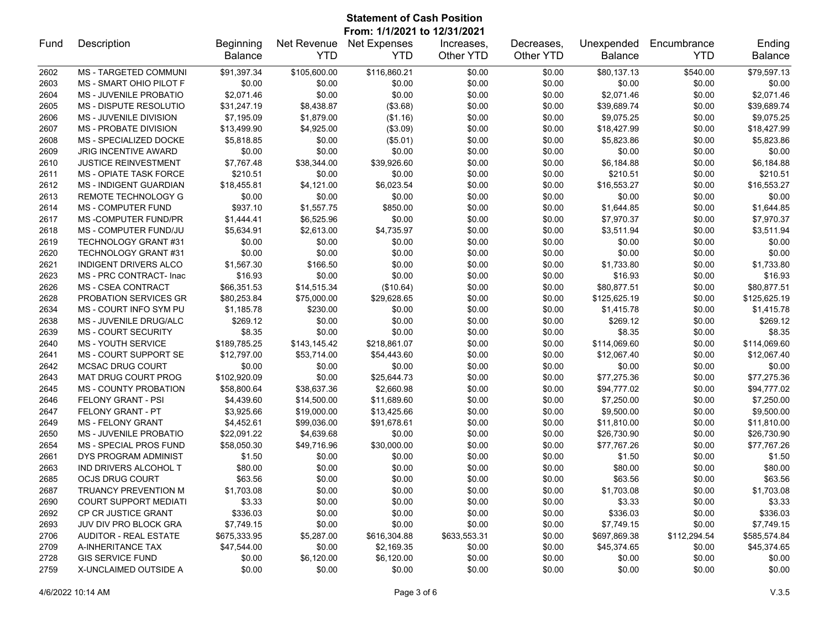|      | <b>Statement of Cash Position</b><br>From: 1/1/2021 to 12/31/2021 |                             |                           |                                   |                         |                         |                              |                           |                          |  |
|------|-------------------------------------------------------------------|-----------------------------|---------------------------|-----------------------------------|-------------------------|-------------------------|------------------------------|---------------------------|--------------------------|--|
| Fund | Description                                                       | Beginning<br><b>Balance</b> | Net Revenue<br><b>YTD</b> | <b>Net Expenses</b><br><b>YTD</b> | Increases.<br>Other YTD | Decreases,<br>Other YTD | Unexpended<br><b>Balance</b> | Encumbrance<br><b>YTD</b> | Ending<br><b>Balance</b> |  |
| 2602 | <b>MS - TARGETED COMMUNI</b>                                      | \$91,397.34                 | \$105,600.00              | \$116,860.21                      | \$0.00                  | \$0.00                  | \$80,137.13                  | \$540.00                  | \$79,597.13              |  |
| 2603 | MS - SMART OHIO PILOT F                                           | \$0.00                      | \$0.00                    | \$0.00                            | \$0.00                  | \$0.00                  | \$0.00                       | \$0.00                    | \$0.00                   |  |
| 2604 | <b>MS - JUVENILE PROBATIO</b>                                     | \$2,071.46                  | \$0.00                    | \$0.00                            | \$0.00                  | \$0.00                  | \$2,071.46                   | \$0.00                    | \$2,071.46               |  |
| 2605 | MS - DISPUTE RESOLUTIO                                            | \$31,247.19                 | \$8,438.87                | (\$3.68)                          | \$0.00                  | \$0.00                  | \$39,689.74                  | \$0.00                    | \$39,689.74              |  |
| 2606 | MS - JUVENILE DIVISION                                            | \$7,195.09                  | \$1,879.00                | (\$1.16)                          | \$0.00                  | \$0.00                  | \$9,075.25                   | \$0.00                    | \$9,075.25               |  |
| 2607 | <b>MS - PROBATE DIVISION</b>                                      | \$13,499.90                 | \$4,925.00                | (\$3.09)                          | \$0.00                  | \$0.00                  | \$18,427.99                  | \$0.00                    | \$18,427.99              |  |
| 2608 | MS - SPECIALIZED DOCKE                                            | \$5,818.85                  | \$0.00                    | (\$5.01)                          | \$0.00                  | \$0.00                  | \$5,823.86                   | \$0.00                    | \$5,823.86               |  |
| 2609 | <b>JRIG INCENTIVE AWARD</b>                                       | \$0.00                      | \$0.00                    | \$0.00                            | \$0.00                  | \$0.00                  | \$0.00                       | \$0.00                    | \$0.00                   |  |
| 2610 | <b>JUSTICE REINVESTMENT</b>                                       | \$7,767.48                  | \$38,344.00               | \$39,926.60                       | \$0.00                  | \$0.00                  | \$6,184.88                   | \$0.00                    | \$6,184.88               |  |
| 2611 | <b>MS - OPIATE TASK FORCE</b>                                     | \$210.51                    | \$0.00                    | \$0.00                            | \$0.00                  | \$0.00                  | \$210.51                     | \$0.00                    | \$210.51                 |  |
| 2612 | <b>MS - INDIGENT GUARDIAN</b>                                     | \$18,455.81                 | \$4,121.00                | \$6,023.54                        | \$0.00                  | \$0.00                  | \$16,553.27                  | \$0.00                    | \$16,553.27              |  |
| 2613 | REMOTE TECHNOLOGY G                                               | \$0.00                      | \$0.00                    | \$0.00                            | \$0.00                  | \$0.00                  | \$0.00                       | \$0.00                    | \$0.00                   |  |
| 2614 | <b>MS - COMPUTER FUND</b>                                         | \$937.10                    | \$1,557.75                | \$850.00                          | \$0.00                  | \$0.00                  | \$1,644.85                   | \$0.00                    | \$1,644.85               |  |
| 2617 | <b>MS-COMPUTER FUND/PR</b>                                        | \$1,444.41                  | \$6,525.96                | \$0.00                            | \$0.00                  | \$0.00                  | \$7,970.37                   | \$0.00                    | \$7,970.37               |  |
| 2618 | MS - COMPUTER FUND/JU                                             | \$5,634.91                  | \$2,613.00                | \$4,735.97                        | \$0.00                  | \$0.00                  | \$3,511.94                   | \$0.00                    | \$3,511.94               |  |
| 2619 | TECHNOLOGY GRANT #31                                              | \$0.00                      | \$0.00                    | \$0.00                            | \$0.00                  | \$0.00                  | \$0.00                       | \$0.00                    | \$0.00                   |  |
| 2620 | TECHNOLOGY GRANT #31                                              | \$0.00                      | \$0.00                    | \$0.00                            | \$0.00                  | \$0.00                  | \$0.00                       | \$0.00                    | \$0.00                   |  |
| 2621 | INDIGENT DRIVERS ALCO                                             | \$1,567.30                  | \$166.50                  | \$0.00                            | \$0.00                  | \$0.00                  | \$1,733.80                   | \$0.00                    | \$1,733.80               |  |
| 2623 | MS - PRC CONTRACT- Inac                                           | \$16.93                     | \$0.00                    | \$0.00                            | \$0.00                  | \$0.00                  | \$16.93                      | \$0.00                    | \$16.93                  |  |
| 2626 | <b>MS - CSEA CONTRACT</b>                                         | \$66,351.53                 | \$14,515.34               | (\$10.64)                         | \$0.00                  | \$0.00                  | \$80,877.51                  | \$0.00                    | \$80,877.51              |  |
| 2628 | PROBATION SERVICES GR                                             | \$80,253.84                 | \$75,000.00               | \$29,628.65                       | \$0.00                  | \$0.00                  | \$125,625.19                 | \$0.00                    | \$125,625.19             |  |
| 2634 | MS - COURT INFO SYM PU                                            | \$1,185.78                  | \$230.00                  | \$0.00                            | \$0.00                  | \$0.00                  | \$1,415.78                   | \$0.00                    | \$1,415.78               |  |
| 2638 | MS - JUVENILE DRUG/ALC                                            | \$269.12                    | \$0.00                    | \$0.00                            | \$0.00                  | \$0.00                  | \$269.12                     | \$0.00                    | \$269.12                 |  |
| 2639 | <b>MS - COURT SECURITY</b>                                        | \$8.35                      | \$0.00                    | \$0.00                            | \$0.00                  | \$0.00                  | \$8.35                       | \$0.00                    | \$8.35                   |  |
| 2640 | <b>MS - YOUTH SERVICE</b>                                         | \$189,785.25                | \$143,145.42              | \$218,861.07                      | \$0.00                  | \$0.00                  | \$114,069.60                 | \$0.00                    | \$114,069.60             |  |
| 2641 | MS - COURT SUPPORT SE                                             | \$12,797.00                 | \$53,714.00               | \$54,443.60                       | \$0.00                  | \$0.00                  | \$12,067.40                  | \$0.00                    | \$12,067.40              |  |
| 2642 | <b>MCSAC DRUG COURT</b>                                           | \$0.00                      | \$0.00                    | \$0.00                            | \$0.00                  | \$0.00                  | \$0.00                       | \$0.00                    | \$0.00                   |  |
| 2643 | MAT DRUG COURT PROG                                               | \$102,920.09                | \$0.00                    | \$25,644.73                       | \$0.00                  | \$0.00                  | \$77,275.36                  | \$0.00                    | \$77,275.36              |  |
| 2645 | <b>MS - COUNTY PROBATION</b>                                      | \$58,800.64                 | \$38,637.36               | \$2,660.98                        | \$0.00                  | \$0.00                  | \$94,777.02                  | \$0.00                    | \$94,777.02              |  |
| 2646 | FELONY GRANT - PSI                                                | \$4,439.60                  | \$14,500.00               | \$11,689.60                       | \$0.00                  | \$0.00                  | \$7,250.00                   | \$0.00                    | \$7,250.00               |  |
| 2647 | FELONY GRANT - PT                                                 | \$3,925.66                  | \$19,000.00               | \$13,425.66                       | \$0.00                  | \$0.00                  | \$9,500.00                   | \$0.00                    | \$9,500.00               |  |
| 2649 | <b>MS - FELONY GRANT</b>                                          | \$4,452.61                  | \$99,036.00               | \$91,678.61                       | \$0.00                  | \$0.00                  | \$11,810.00                  | \$0.00                    | \$11,810.00              |  |
| 2650 | <b>MS - JUVENILE PROBATIO</b>                                     | \$22,091.22                 | \$4,639.68                | \$0.00                            | \$0.00                  | \$0.00                  | \$26,730.90                  | \$0.00                    | \$26,730.90              |  |
| 2654 | <b>MS - SPECIAL PROS FUND</b>                                     | \$58,050.30                 | \$49,716.96               | \$30,000.00                       | \$0.00                  | \$0.00                  | \$77,767.26                  | \$0.00                    | \$77,767.26              |  |
| 2661 | DYS PROGRAM ADMINIST                                              | \$1.50                      | \$0.00                    | \$0.00                            | \$0.00                  | \$0.00                  | \$1.50                       | \$0.00                    | \$1.50                   |  |
| 2663 | IND DRIVERS ALCOHOL T                                             | \$80.00                     | \$0.00                    | \$0.00                            | \$0.00                  | \$0.00                  | \$80.00                      | \$0.00                    | \$80.00                  |  |
| 2685 | <b>OCJS DRUG COURT</b>                                            | \$63.56                     | \$0.00                    | \$0.00                            | \$0.00                  | \$0.00                  | \$63.56                      | \$0.00                    | \$63.56                  |  |
| 2687 | TRUANCY PREVENTION M                                              | \$1,703.08                  | \$0.00                    | \$0.00                            | \$0.00                  | \$0.00                  | \$1,703.08                   | \$0.00                    | \$1,703.08               |  |
| 2690 | <b>COURT SUPPORT MEDIATI</b>                                      | \$3.33                      | \$0.00                    | \$0.00                            | \$0.00                  | \$0.00                  | \$3.33                       | \$0.00                    | \$3.33                   |  |
| 2692 | CP CR JUSTICE GRANT                                               | \$336.03                    | \$0.00                    | \$0.00                            | \$0.00                  | \$0.00                  | \$336.03                     | \$0.00                    | \$336.03                 |  |
| 2693 | <b>JUV DIV PRO BLOCK GRA</b>                                      | \$7,749.15                  | \$0.00                    | \$0.00                            | \$0.00                  | \$0.00                  | \$7,749.15                   | \$0.00                    | \$7,749.15               |  |
| 2706 | <b>AUDITOR - REAL ESTATE</b>                                      | \$675,333.95                | \$5,287.00                | \$616,304.88                      | \$633,553.31            | \$0.00                  | \$697,869.38                 | \$112,294.54              | \$585,574.84             |  |

2709 A-INHERITANCE TAX \$47,544.00 \$0.00 \$2,169.35 \$0.00 \$0.00 \$45,374.65 \$0.00 \$45,374.65 GIS SERVICE FUND \$0.00 \$6,120.00 \$6,120.00 \$0.00 \$0.00 \$0.00 \$0.00 \$0.00 X-UNCLAIMED OUTSIDE A \$0.00 \$0.00 \$0.00 \$0.00 \$0.00 \$0.00 \$0.00 \$0.00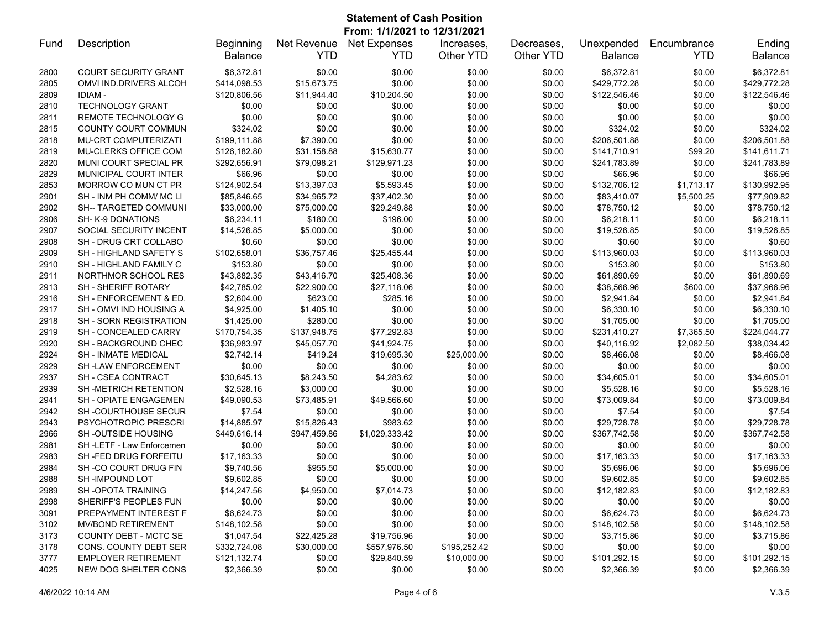## **Statement of Cash Position From: 1/1/2021 to 12/31/2021**

| Fund | Description                   | Beginning      | Net Revenue  | <b>Net Expenses</b> | Increases.   | Decreases. | Unexpended     | Encumbrance | Ending         |
|------|-------------------------------|----------------|--------------|---------------------|--------------|------------|----------------|-------------|----------------|
|      |                               | <b>Balance</b> | <b>YTD</b>   | <b>YTD</b>          | Other YTD    | Other YTD  | <b>Balance</b> | <b>YTD</b>  | <b>Balance</b> |
| 2800 | <b>COURT SECURITY GRANT</b>   | \$6,372.81     | \$0.00       | \$0.00              | \$0.00       | \$0.00     | \$6,372.81     | \$0.00      | \$6,372.81     |
| 2805 | OMVI IND.DRIVERS ALCOH        | \$414,098.53   | \$15,673.75  | \$0.00              | \$0.00       | \$0.00     | \$429,772.28   | \$0.00      | \$429,772.28   |
| 2809 | <b>IDIAM-</b>                 | \$120,806.56   | \$11,944.40  | \$10,204.50         | \$0.00       | \$0.00     | \$122,546.46   | \$0.00      | \$122,546.46   |
| 2810 | <b>TECHNOLOGY GRANT</b>       | \$0.00         | \$0.00       | \$0.00              | \$0.00       | \$0.00     | \$0.00         | \$0.00      | \$0.00         |
| 2811 | REMOTE TECHNOLOGY G           | \$0.00         | \$0.00       | \$0.00              | \$0.00       | \$0.00     | \$0.00         | \$0.00      | \$0.00         |
| 2815 | COUNTY COURT COMMUN           | \$324.02       | \$0.00       | \$0.00              | \$0.00       | \$0.00     | \$324.02       | \$0.00      | \$324.02       |
| 2818 | <b>MU-CRT COMPUTERIZATI</b>   | \$199,111.88   | \$7,390.00   | \$0.00              | \$0.00       | \$0.00     | \$206,501.88   | \$0.00      | \$206,501.88   |
| 2819 | MU-CLERKS OFFICE COM          | \$126,182.80   | \$31,158.88  | \$15,630.77         | \$0.00       | \$0.00     | \$141,710.91   | \$99.20     | \$141,611.71   |
| 2820 | MUNI COURT SPECIAL PR         | \$292,656.91   | \$79,098.21  | \$129,971.23        | \$0.00       | \$0.00     | \$241,783.89   | \$0.00      | \$241,783.89   |
| 2829 | MUNICIPAL COURT INTER         | \$66.96        | \$0.00       | \$0.00              | \$0.00       | \$0.00     | \$66.96        | \$0.00      | \$66.96        |
| 2853 | MORROW CO MUN CT PR           | \$124,902.54   | \$13,397.03  | \$5,593.45          | \$0.00       | \$0.00     | \$132,706.12   | \$1,713.17  | \$130,992.95   |
| 2901 | SH - INM PH COMM/ MC LI       | \$85,846.65    | \$34,965.72  | \$37,402.30         | \$0.00       | \$0.00     | \$83,410.07    | \$5,500.25  | \$77,909.82    |
| 2902 | <b>SH-- TARGETED COMMUNI</b>  | \$33,000.00    | \$75,000.00  | \$29,249.88         | \$0.00       | \$0.00     | \$78,750.12    | \$0.00      | \$78,750.12    |
| 2906 | SH- K-9 DONATIONS             | \$6,234.11     | \$180.00     | \$196.00            | \$0.00       | \$0.00     | \$6,218.11     | \$0.00      | \$6,218.11     |
| 2907 | SOCIAL SECURITY INCENT        | \$14,526.85    | \$5,000.00   | \$0.00              | \$0.00       | \$0.00     | \$19,526.85    | \$0.00      | \$19,526.85    |
| 2908 | SH - DRUG CRT COLLABO         | \$0.60         | \$0.00       | \$0.00              | \$0.00       | \$0.00     | \$0.60         | \$0.00      | \$0.60         |
| 2909 | SH - HIGHLAND SAFETY S        | \$102,658.01   | \$36,757.46  | \$25,455.44         | \$0.00       | \$0.00     | \$113,960.03   | \$0.00      | \$113,960.03   |
| 2910 | SH - HIGHLAND FAMILY C        | \$153.80       | \$0.00       | \$0.00              | \$0.00       | \$0.00     | \$153.80       | \$0.00      | \$153.80       |
| 2911 | NORTHMOR SCHOOL RES           | \$43,882.35    | \$43,416.70  | \$25,408.36         | \$0.00       | \$0.00     | \$61,890.69    | \$0.00      | \$61,890.69    |
| 2913 | <b>SH - SHERIFF ROTARY</b>    | \$42,785.02    | \$22,900.00  | \$27,118.06         | \$0.00       | \$0.00     | \$38,566.96    | \$600.00    | \$37,966.96    |
| 2916 | SH - ENFORCEMENT & ED.        | \$2,604.00     | \$623.00     | \$285.16            | \$0.00       | \$0.00     | \$2,941.84     | \$0.00      | \$2,941.84     |
| 2917 | SH - OMVI IND HOUSING A       | \$4,925.00     | \$1,405.10   | \$0.00              | \$0.00       | \$0.00     | \$6,330.10     | \$0.00      | \$6,330.10     |
| 2918 | <b>SH - SORN REGISTRATION</b> | \$1,425.00     | \$280.00     | \$0.00              | \$0.00       | \$0.00     | \$1,705.00     | \$0.00      | \$1,705.00     |
| 2919 | SH - CONCEALED CARRY          | \$170,754.35   | \$137,948.75 | \$77,292.83         | \$0.00       | \$0.00     | \$231,410.27   | \$7,365.50  | \$224,044.77   |
| 2920 | SH - BACKGROUND CHEC          | \$36,983.97    | \$45,057.70  | \$41,924.75         | \$0.00       | \$0.00     | \$40,116.92    | \$2,082.50  | \$38,034.42    |
| 2924 | <b>SH - INMATE MEDICAL</b>    | \$2,742.14     | \$419.24     | \$19,695.30         | \$25,000.00  | \$0.00     | \$8,466.08     | \$0.00      | \$8,466.08     |
| 2929 | <b>SH-LAW ENFORCEMENT</b>     | \$0.00         | \$0.00       | \$0.00              | \$0.00       | \$0.00     | \$0.00         | \$0.00      | \$0.00         |
| 2937 | SH - CSEA CONTRACT            | \$30,645.13    | \$8,243.50   | \$4,283.62          | \$0.00       | \$0.00     | \$34,605.01    | \$0.00      | \$34,605.01    |
| 2939 | <b>SH-METRICH RETENTION</b>   | \$2,528.16     | \$3,000.00   | \$0.00              | \$0.00       | \$0.00     | \$5,528.16     | \$0.00      | \$5,528.16     |
| 2941 | SH - OPIATE ENGAGEMEN         | \$49,090.53    | \$73,485.91  | \$49,566.60         | \$0.00       | \$0.00     | \$73,009.84    | \$0.00      | \$73,009.84    |
| 2942 | <b>SH-COURTHOUSE SECUR</b>    | \$7.54         | \$0.00       | \$0.00              | \$0.00       | \$0.00     | \$7.54         | \$0.00      | \$7.54         |
| 2943 | PSYCHOTROPIC PRESCRI          | \$14,885.97    | \$15,826.43  | \$983.62            | \$0.00       | \$0.00     | \$29,728.78    | \$0.00      | \$29,728.78    |
| 2966 | <b>SH-OUTSIDE HOUSING</b>     | \$449,616.14   | \$947,459.86 | \$1,029,333.42      | \$0.00       | \$0.00     | \$367,742.58   | \$0.00      | \$367,742.58   |
| 2981 | SH-LETF-Law Enforcemen        | \$0.00         | \$0.00       | \$0.00              | \$0.00       | \$0.00     | \$0.00         | \$0.00      | \$0.00         |
| 2983 | SH-FED DRUG FORFEITU          | \$17,163.33    | \$0.00       | \$0.00              | \$0.00       | \$0.00     | \$17,163.33    | \$0.00      | \$17,163.33    |
| 2984 | SH-CO COURT DRUG FIN          | \$9,740.56     | \$955.50     | \$5,000.00          | \$0.00       | \$0.00     | \$5,696.06     | \$0.00      | \$5,696.06     |
| 2988 | SH-IMPOUND LOT                | \$9,602.85     | \$0.00       | \$0.00              | \$0.00       | \$0.00     | \$9,602.85     | \$0.00      | \$9,602.85     |
| 2989 | SH-OPOTA TRAINING             | \$14,247.56    | \$4,950.00   | \$7,014.73          | \$0.00       | \$0.00     | \$12,182.83    | \$0.00      | \$12,182.83    |
| 2998 | SHERIFF'S PEOPLES FUN         | \$0.00         | \$0.00       | \$0.00              | \$0.00       | \$0.00     | \$0.00         | \$0.00      | \$0.00         |
| 3091 | PREPAYMENT INTEREST F         | \$6,624.73     | \$0.00       | \$0.00              | \$0.00       | \$0.00     | \$6,624.73     | \$0.00      | \$6,624.73     |
| 3102 | <b>MV/BOND RETIREMENT</b>     | \$148,102.58   | \$0.00       | \$0.00              | \$0.00       | \$0.00     | \$148,102.58   | \$0.00      | \$148,102.58   |
| 3173 | COUNTY DEBT - MCTC SE         | \$1,047.54     | \$22,425.28  | \$19,756.96         | \$0.00       | \$0.00     | \$3,715.86     | \$0.00      | \$3,715.86     |
| 3178 | CONS. COUNTY DEBT SER         | \$332,724.08   | \$30,000.00  | \$557,976.50        | \$195,252.42 | \$0.00     | \$0.00         | \$0.00      | \$0.00         |
| 3777 | <b>EMPLOYER RETIREMENT</b>    | \$121,132.74   | \$0.00       | \$29,840.59         | \$10,000.00  | \$0.00     | \$101,292.15   | \$0.00      | \$101,292.15   |
| 4025 | NEW DOG SHELTER CONS          | \$2,366.39     | \$0.00       | \$0.00              | \$0.00       | \$0.00     | \$2,366.39     | \$0.00      | \$2,366.39     |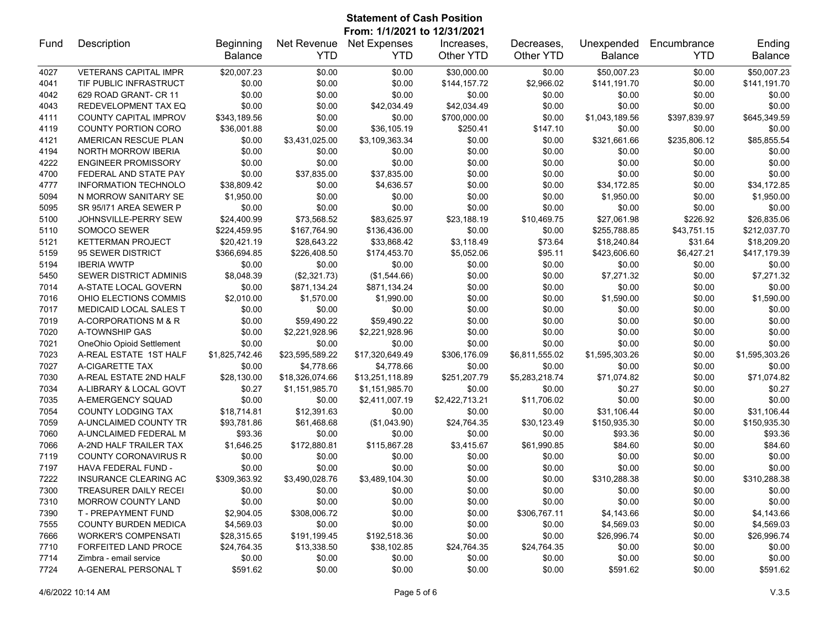### **Statement of Cash Position From: 1/1/2021 to 12/31/2021**

| Fund | Description                  | <b>Beginning</b> | Net Revenue     | <b>Net Expenses</b> | Increases.     | Decreases.     | Unexpended     | Encumbrance  | Ending         |
|------|------------------------------|------------------|-----------------|---------------------|----------------|----------------|----------------|--------------|----------------|
|      |                              | <b>Balance</b>   | <b>YTD</b>      | <b>YTD</b>          | Other YTD      | Other YTD      | <b>Balance</b> | <b>YTD</b>   | Balance        |
| 4027 | <b>VETERANS CAPITAL IMPR</b> | \$20,007.23      | \$0.00          | \$0.00              | \$30,000.00    | \$0.00         | \$50,007.23    | \$0.00       | \$50,007.23    |
| 4041 | TIF PUBLIC INFRASTRUCT       | \$0.00           | \$0.00          | \$0.00              | \$144,157.72   | \$2,966.02     | \$141,191.70   | \$0.00       | \$141,191.70   |
| 4042 | 629 ROAD GRANT- CR 11        | \$0.00           | \$0.00          | \$0.00              | \$0.00         | \$0.00         | \$0.00         | \$0.00       | \$0.00         |
| 4043 | REDEVELOPMENT TAX EQ         | \$0.00           | \$0.00          | \$42,034.49         | \$42,034.49    | \$0.00         | \$0.00         | \$0.00       | \$0.00         |
| 4111 | <b>COUNTY CAPITAL IMPROV</b> | \$343,189.56     | \$0.00          | \$0.00              | \$700,000.00   | \$0.00         | \$1,043,189.56 | \$397,839.97 | \$645,349.59   |
| 4119 | <b>COUNTY PORTION CORO</b>   | \$36,001.88      | \$0.00          | \$36,105.19         | \$250.41       | \$147.10       | \$0.00         | \$0.00       | \$0.00         |
| 4121 | AMERICAN RESCUE PLAN         | \$0.00           | \$3,431,025.00  | \$3,109,363.34      | \$0.00         | \$0.00         | \$321,661.66   | \$235,806.12 | \$85,855.54    |
| 4194 | <b>NORTH MORROW IBERIA</b>   | \$0.00           | \$0.00          | \$0.00              | \$0.00         | \$0.00         | \$0.00         | \$0.00       | \$0.00         |
| 4222 | <b>ENGINEER PROMISSORY</b>   | \$0.00           | \$0.00          | \$0.00              | \$0.00         | \$0.00         | \$0.00         | \$0.00       | \$0.00         |
| 4700 | FEDERAL AND STATE PAY        | \$0.00           | \$37,835.00     | \$37,835.00         | \$0.00         | \$0.00         | \$0.00         | \$0.00       | \$0.00         |
| 4777 | <b>INFORMATION TECHNOLO</b>  | \$38,809.42      | \$0.00          | \$4,636.57          | \$0.00         | \$0.00         | \$34,172.85    | \$0.00       | \$34,172.85    |
| 5094 | N MORROW SANITARY SE         | \$1,950.00       | \$0.00          | \$0.00              | \$0.00         | \$0.00         | \$1,950.00     | \$0.00       | \$1,950.00     |
| 5095 | SR 95/171 AREA SEWER P       | \$0.00           | \$0.00          | \$0.00              | \$0.00         | \$0.00         | \$0.00         | \$0.00       | \$0.00         |
| 5100 | JOHNSVILLE-PERRY SEW         | \$24,400.99      | \$73,568.52     | \$83,625.97         | \$23,188.19    | \$10,469.75    | \$27,061.98    | \$226.92     | \$26.835.06    |
| 5110 | SOMOCO SEWER                 | \$224,459.95     | \$167,764.90    | \$136,436.00        | \$0.00         | \$0.00         | \$255,788.85   | \$43,751.15  | \$212,037.70   |
| 5121 | <b>KETTERMAN PROJECT</b>     | \$20,421.19      | \$28,643.22     | \$33,868.42         | \$3,118.49     | \$73.64        | \$18,240.84    | \$31.64      | \$18,209.20    |
| 5159 | 95 SEWER DISTRICT            | \$366,694.85     | \$226,408.50    | \$174,453.70        | \$5,052.06     | \$95.11        | \$423,606.60   | \$6,427.21   | \$417,179.39   |
| 5194 | <b>IBERIA WWTP</b>           | \$0.00           | \$0.00          | \$0.00              | \$0.00         | \$0.00         | \$0.00         | \$0.00       | \$0.00         |
| 5450 | SEWER DISTRICT ADMINIS       | \$8,048.39       | (\$2,321.73)    | (\$1,544.66)        | \$0.00         | \$0.00         | \$7,271.32     | \$0.00       | \$7,271.32     |
| 7014 | A-STATE LOCAL GOVERN         | \$0.00           | \$871,134.24    | \$871,134.24        | \$0.00         | \$0.00         | \$0.00         | \$0.00       | \$0.00         |
| 7016 | OHIO ELECTIONS COMMIS        | \$2,010.00       | \$1,570.00      | \$1,990.00          | \$0.00         | \$0.00         | \$1,590.00     | \$0.00       | \$1,590.00     |
| 7017 | MEDICAID LOCAL SALES T       | \$0.00           | \$0.00          | \$0.00              | \$0.00         | \$0.00         | \$0.00         | \$0.00       | \$0.00         |
| 7019 | A-CORPORATIONS M & R         | \$0.00           | \$59,490.22     | \$59,490.22         | \$0.00         | \$0.00         | \$0.00         | \$0.00       | \$0.00         |
| 7020 | A-TOWNSHIP GAS               | \$0.00           | \$2,221,928.96  | \$2,221,928.96      | \$0.00         | \$0.00         | \$0.00         | \$0.00       | \$0.00         |
| 7021 | OneOhio Opioid Settlement    | \$0.00           | \$0.00          | \$0.00              | \$0.00         | \$0.00         | \$0.00         | \$0.00       | \$0.00         |
| 7023 | A-REAL ESTATE 1ST HALF       | \$1,825,742.46   | \$23,595,589.22 | \$17,320,649.49     | \$306,176.09   | \$6,811,555.02 | \$1,595,303.26 | \$0.00       | \$1,595,303.26 |
| 7027 | A-CIGARETTE TAX              | \$0.00           | \$4,778.66      | \$4,778.66          | \$0.00         | \$0.00         | \$0.00         | \$0.00       | \$0.00         |
| 7030 | A-REAL ESTATE 2ND HALF       | \$28,130.00      | \$18,326,074.66 | \$13,251,118.89     | \$251,207.79   | \$5,283,218.74 | \$71,074.82    | \$0.00       | \$71,074.82    |
| 7034 | A-LIBRARY & LOCAL GOVT       | \$0.27           | \$1,151,985.70  | \$1,151,985.70      | \$0.00         | \$0.00         | \$0.27         | \$0.00       | \$0.27         |
| 7035 | A-EMERGENCY SQUAD            | \$0.00           | \$0.00          | \$2,411,007.19      | \$2,422,713.21 | \$11,706.02    | \$0.00         | \$0.00       | \$0.00         |
| 7054 | COUNTY LODGING TAX           | \$18,714.81      | \$12,391.63     | \$0.00              | \$0.00         | \$0.00         | \$31,106.44    | \$0.00       | \$31,106.44    |
| 7059 | A-UNCLAIMED COUNTY TR        | \$93,781.86      | \$61,468.68     | (\$1,043.90)        | \$24,764.35    | \$30,123.49    | \$150,935.30   | \$0.00       | \$150,935.30   |
| 7060 | A-UNCLAIMED FEDERAL M        | \$93.36          | \$0.00          | \$0.00              | \$0.00         | \$0.00         | \$93.36        | \$0.00       | \$93.36        |
| 7066 | A-2ND HALF TRAILER TAX       | \$1,646.25       | \$172,880.81    | \$115,867.28        | \$3,415.67     | \$61,990.85    | \$84.60        | \$0.00       | \$84.60        |
| 7119 | <b>COUNTY CORONAVIRUS R</b>  | \$0.00           | \$0.00          | \$0.00              | \$0.00         | \$0.00         | \$0.00         | \$0.00       | \$0.00         |
| 7197 | <b>HAVA FEDERAL FUND -</b>   | \$0.00           | \$0.00          | \$0.00              | \$0.00         | \$0.00         | \$0.00         | \$0.00       | \$0.00         |
| 7222 | <b>INSURANCE CLEARING AC</b> | \$309,363.92     | \$3,490,028.76  | \$3,489,104.30      | \$0.00         | \$0.00         | \$310,288.38   | \$0.00       | \$310.288.38   |
| 7300 | <b>TREASURER DAILY RECEI</b> | \$0.00           | \$0.00          | \$0.00              | \$0.00         | \$0.00         | \$0.00         | \$0.00       | \$0.00         |
| 7310 | <b>MORROW COUNTY LAND</b>    | \$0.00           | \$0.00          | \$0.00              | \$0.00         | \$0.00         | \$0.00         | \$0.00       | \$0.00         |
| 7390 | T - PREPAYMENT FUND          | \$2,904.05       | \$308,006.72    | \$0.00              | \$0.00         | \$306,767.11   | \$4,143.66     | \$0.00       | \$4,143.66     |
| 7555 | <b>COUNTY BURDEN MEDICA</b>  | \$4,569.03       | \$0.00          | \$0.00              | \$0.00         | \$0.00         | \$4,569.03     | \$0.00       | \$4,569.03     |
| 7666 | <b>WORKER'S COMPENSATI</b>   | \$28,315.65      | \$191,199.45    | \$192,518.36        | \$0.00         | \$0.00         | \$26,996.74    | \$0.00       | \$26,996.74    |
| 7710 | <b>FORFEITED LAND PROCE</b>  | \$24,764.35      | \$13,338.50     | \$38,102.85         | \$24,764.35    | \$24,764.35    | \$0.00         | \$0.00       | \$0.00         |
| 7714 | Zimbra - email service       | \$0.00           | \$0.00          | \$0.00              | \$0.00         | \$0.00         | \$0.00         | \$0.00       | \$0.00         |
| 7724 | A-GENERAL PERSONAL T         | \$591.62         | \$0.00          | \$0.00              | \$0.00         | \$0.00         | \$591.62       | \$0.00       | \$591.62       |